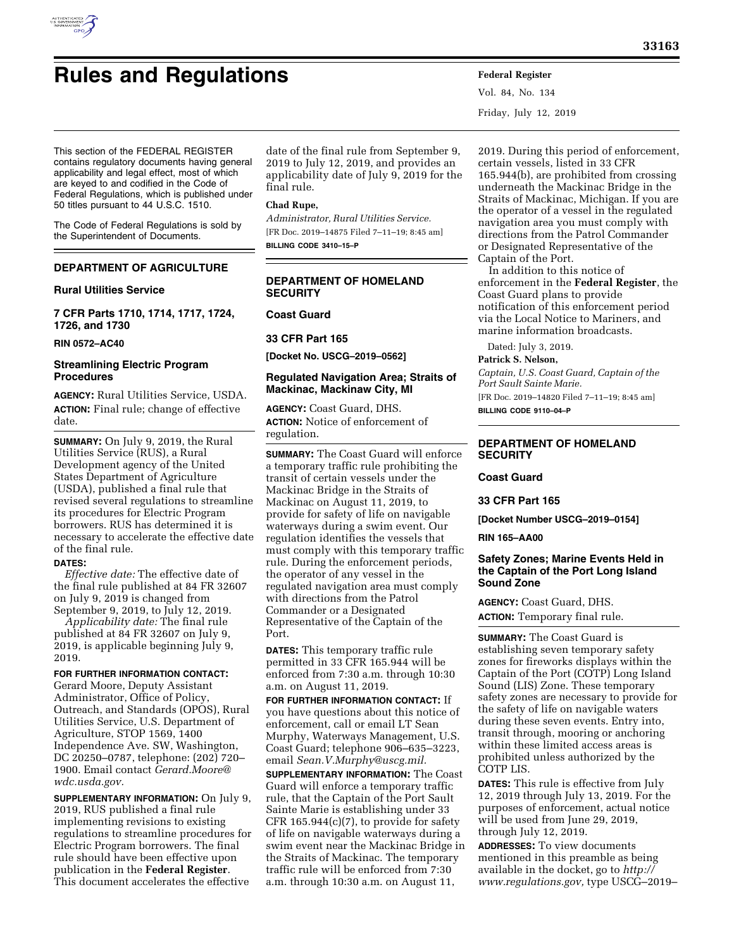# **Rules and Regulations Federal Register**

Vol. 84, No. 134 Friday, July 12, 2019

This section of the FEDERAL REGISTER contains regulatory documents having general applicability and legal effect, most of which are keyed to and codified in the Code of Federal Regulations, which is published under 50 titles pursuant to 44 U.S.C. 1510.

The Code of Federal Regulations is sold by the Superintendent of Documents.

# **DEPARTMENT OF AGRICULTURE**

## **Rural Utilities Service**

**7 CFR Parts 1710, 1714, 1717, 1724, 1726, and 1730** 

**RIN 0572–AC40** 

# **Streamlining Electric Program Procedures**

**AGENCY:** Rural Utilities Service, USDA. **ACTION:** Final rule; change of effective date.

**SUMMARY:** On July 9, 2019, the Rural Utilities Service (RUS), a Rural Development agency of the United States Department of Agriculture (USDA), published a final rule that revised several regulations to streamline its procedures for Electric Program borrowers. RUS has determined it is necessary to accelerate the effective date of the final rule.

#### **DATES:**

*Effective date:* The effective date of the final rule published at 84 FR 32607 on July 9, 2019 is changed from September 9, 2019, to July 12, 2019.

*Applicability date:* The final rule published at 84 FR 32607 on July 9, 2019, is applicable beginning July 9, 2019.

#### **FOR FURTHER INFORMATION CONTACT:**

Gerard Moore, Deputy Assistant Administrator, Office of Policy, Outreach, and Standards (OPOS), Rural Utilities Service, U.S. Department of Agriculture, STOP 1569, 1400 Independence Ave. SW, Washington, DC 20250–0787, telephone: (202) 720– 1900. Email contact *[Gerard.Moore@](mailto:Gerard.Moore@wdc.usda.gov) [wdc.usda.gov.](mailto:Gerard.Moore@wdc.usda.gov)* 

**SUPPLEMENTARY INFORMATION:** On July 9, 2019, RUS published a final rule implementing revisions to existing regulations to streamline procedures for Electric Program borrowers. The final rule should have been effective upon publication in the **Federal Register**. This document accelerates the effective

date of the final rule from September 9, 2019 to July 12, 2019, and provides an applicability date of July 9, 2019 for the final rule.

## **Chad Rupe,**

*Administrator, Rural Utilities Service.*  [FR Doc. 2019–14875 Filed 7–11–19; 8:45 am] **BILLING CODE 3410–15–P** 

# **DEPARTMENT OF HOMELAND SECURITY**

## **Coast Guard**

#### **33 CFR Part 165**

**[Docket No. USCG–2019–0562]** 

## **Regulated Navigation Area; Straits of Mackinac, Mackinaw City, MI**

**AGENCY:** Coast Guard, DHS. **ACTION:** Notice of enforcement of regulation.

**SUMMARY:** The Coast Guard will enforce a temporary traffic rule prohibiting the transit of certain vessels under the Mackinac Bridge in the Straits of Mackinac on August 11, 2019, to provide for safety of life on navigable waterways during a swim event. Our regulation identifies the vessels that must comply with this temporary traffic rule. During the enforcement periods, the operator of any vessel in the regulated navigation area must comply with directions from the Patrol Commander or a Designated Representative of the Captain of the Port.

**DATES:** This temporary traffic rule permitted in 33 CFR 165.944 will be enforced from 7:30 a.m. through 10:30 a.m. on August 11, 2019.

**FOR FURTHER INFORMATION CONTACT:** If you have questions about this notice of enforcement, call or email LT Sean Murphy, Waterways Management, U.S. Coast Guard; telephone 906–635–3223, email *[Sean.V.Murphy@uscg.mil.](mailto:Sean.V.Murphy@uscg.mil)* 

**SUPPLEMENTARY INFORMATION:** The Coast Guard will enforce a temporary traffic rule, that the Captain of the Port Sault Sainte Marie is establishing under 33 CFR 165.944(c)(7), to provide for safety of life on navigable waterways during a swim event near the Mackinac Bridge in the Straits of Mackinac. The temporary traffic rule will be enforced from 7:30 a.m. through 10:30 a.m. on August 11,

2019. During this period of enforcement, certain vessels, listed in 33 CFR 165.944(b), are prohibited from crossing underneath the Mackinac Bridge in the Straits of Mackinac, Michigan. If you are the operator of a vessel in the regulated navigation area you must comply with directions from the Patrol Commander or Designated Representative of the Captain of the Port.

In addition to this notice of enforcement in the **Federal Register**, the Coast Guard plans to provide notification of this enforcement period via the Local Notice to Mariners, and marine information broadcasts.

Dated: July 3, 2019.

**Patrick S. Nelson,** 

*Captain, U.S. Coast Guard, Captain of the Port Sault Sainte Marie.*  [FR Doc. 2019–14820 Filed 7–11–19; 8:45 am]

**BILLING CODE 9110–04–P** 

# **DEPARTMENT OF HOMELAND SECURITY**

**Coast Guard** 

#### **33 CFR Part 165**

**[Docket Number USCG–2019–0154]** 

#### **RIN 165–AA00**

# **Safety Zones; Marine Events Held in the Captain of the Port Long Island Sound Zone**

**AGENCY:** Coast Guard, DHS. **ACTION:** Temporary final rule.

**SUMMARY:** The Coast Guard is establishing seven temporary safety zones for fireworks displays within the Captain of the Port (COTP) Long Island Sound (LIS) Zone. These temporary safety zones are necessary to provide for the safety of life on navigable waters during these seven events. Entry into, transit through, mooring or anchoring within these limited access areas is prohibited unless authorized by the COTP LIS.

**DATES:** This rule is effective from July 12, 2019 through July 13, 2019. For the purposes of enforcement, actual notice will be used from June 29, 2019, through July 12, 2019.

**ADDRESSES:** To view documents mentioned in this preamble as being available in the docket, go to *[http://](http://www.regulations.gov) [www.regulations.gov,](http://www.regulations.gov)* type USCG–2019–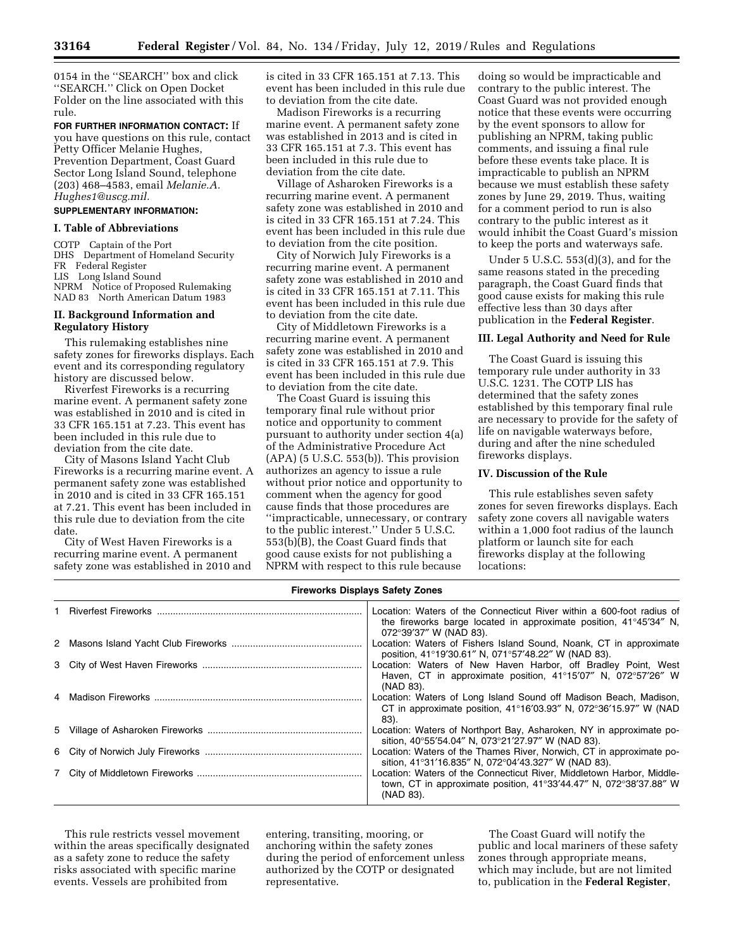0154 in the ''SEARCH'' box and click ''SEARCH.'' Click on Open Docket Folder on the line associated with this rule.

**FOR FURTHER INFORMATION CONTACT:** If you have questions on this rule, contact Petty Officer Melanie Hughes, Prevention Department, Coast Guard Sector Long Island Sound, telephone (203) 468–4583, email *[Melanie.A.](mailto:Melanie.A.Hughes1@uscg.mil) [Hughes1@uscg.mil.](mailto:Melanie.A.Hughes1@uscg.mil)* 

# **SUPPLEMENTARY INFORMATION:**

# **I. Table of Abbreviations**

COTP Captain of the Port DHS Department of Homeland Security FR Federal Register LIS Long Island Sound NPRM Notice of Proposed Rulemaking NAD 83 North American Datum 1983

## **II. Background Information and Regulatory History**

This rulemaking establishes nine safety zones for fireworks displays. Each event and its corresponding regulatory history are discussed below.

Riverfest Fireworks is a recurring marine event. A permanent safety zone was established in 2010 and is cited in 33 CFR 165.151 at 7.23. This event has been included in this rule due to deviation from the cite date.

City of Masons Island Yacht Club Fireworks is a recurring marine event. A permanent safety zone was established in 2010 and is cited in 33 CFR 165.151 at 7.21. This event has been included in this rule due to deviation from the cite date.

City of West Haven Fireworks is a recurring marine event. A permanent safety zone was established in 2010 and is cited in 33 CFR 165.151 at 7.13. This event has been included in this rule due to deviation from the cite date.

Madison Fireworks is a recurring marine event. A permanent safety zone was established in 2013 and is cited in 33 CFR 165.151 at 7.3. This event has been included in this rule due to deviation from the cite date.

Village of Asharoken Fireworks is a recurring marine event. A permanent safety zone was established in 2010 and is cited in 33 CFR 165.151 at 7.24. This event has been included in this rule due to deviation from the cite position.

City of Norwich July Fireworks is a recurring marine event. A permanent safety zone was established in 2010 and is cited in 33 CFR 165.151 at 7.11. This event has been included in this rule due to deviation from the cite date.

City of Middletown Fireworks is a recurring marine event. A permanent safety zone was established in 2010 and is cited in 33 CFR 165.151 at 7.9. This event has been included in this rule due to deviation from the cite date.

The Coast Guard is issuing this temporary final rule without prior notice and opportunity to comment pursuant to authority under section 4(a) of the Administrative Procedure Act  $(APA)$  (5 U.S.C. 553(b)). This provision authorizes an agency to issue a rule without prior notice and opportunity to comment when the agency for good cause finds that those procedures are ''impracticable, unnecessary, or contrary to the public interest.'' Under 5 U.S.C. 553(b)(B), the Coast Guard finds that good cause exists for not publishing a NPRM with respect to this rule because

doing so would be impracticable and contrary to the public interest. The Coast Guard was not provided enough notice that these events were occurring by the event sponsors to allow for publishing an NPRM, taking public comments, and issuing a final rule before these events take place. It is impracticable to publish an NPRM because we must establish these safety zones by June 29, 2019. Thus, waiting for a comment period to run is also contrary to the public interest as it would inhibit the Coast Guard's mission to keep the ports and waterways safe.

Under 5 U.S.C. 553(d)(3), and for the same reasons stated in the preceding paragraph, the Coast Guard finds that good cause exists for making this rule effective less than 30 days after publication in the **Federal Register**.

#### **III. Legal Authority and Need for Rule**

The Coast Guard is issuing this temporary rule under authority in 33 U.S.C. 1231. The COTP LIS has determined that the safety zones established by this temporary final rule are necessary to provide for the safety of life on navigable waterways before, during and after the nine scheduled fireworks displays.

#### **IV. Discussion of the Rule**

This rule establishes seven safety zones for seven fireworks displays. Each safety zone covers all navigable waters within a 1,000 foot radius of the launch platform or launch site for each fireworks display at the following locations:

# **Fireworks Displays Safety Zones**

|  | Location: Waters of the Connecticut River within a 600-foot radius of                                 |
|--|-------------------------------------------------------------------------------------------------------|
|  | the fireworks barge located in approximate position, $41^{\circ}45'34''$ N,<br>072°39'37" W (NAD 83). |
|  | Location: Waters of Fishers Island Sound, Noank, CT in approximate                                    |
|  | position, 41°19'30.61" N, 071°57'48.22" W (NAD 83).                                                   |
|  | Location: Waters of New Haven Harbor, off Bradley Point, West                                         |
|  | Haven, CT in approximate position, 41°15'07" N, 072°57'26" W                                          |
|  | (NAD 83).                                                                                             |
|  | Location: Waters of Long Island Sound off Madison Beach, Madison,                                     |
|  | CT in approximate position, $41^{\circ}16'03.93''$ N, $072^{\circ}36'15.97''$ W (NAD                  |
|  | 83).                                                                                                  |
|  | Location: Waters of Northport Bay, Asharoken, NY in approximate po-                                   |
|  | sition, 40°55'54.04" N, 073°21'27.97" W (NAD 83).                                                     |
|  | Location: Waters of the Thames River, Norwich, CT in approximate po-                                  |
|  | sition, 41°31'16.835" N, 072°04'43.327" W (NAD 83).                                                   |
|  | Location: Waters of the Connecticut River, Middletown Harbor, Middle-                                 |
|  | town, CT in approximate position, $41^{\circ}33'44.47''$ N, $072^{\circ}38'37.88''$ W                 |
|  | (NAD 83).                                                                                             |

This rule restricts vessel movement within the areas specifically designated as a safety zone to reduce the safety risks associated with specific marine events. Vessels are prohibited from

entering, transiting, mooring, or anchoring within the safety zones during the period of enforcement unless authorized by the COTP or designated representative.

The Coast Guard will notify the public and local mariners of these safety zones through appropriate means, which may include, but are not limited to, publication in the **Federal Register**,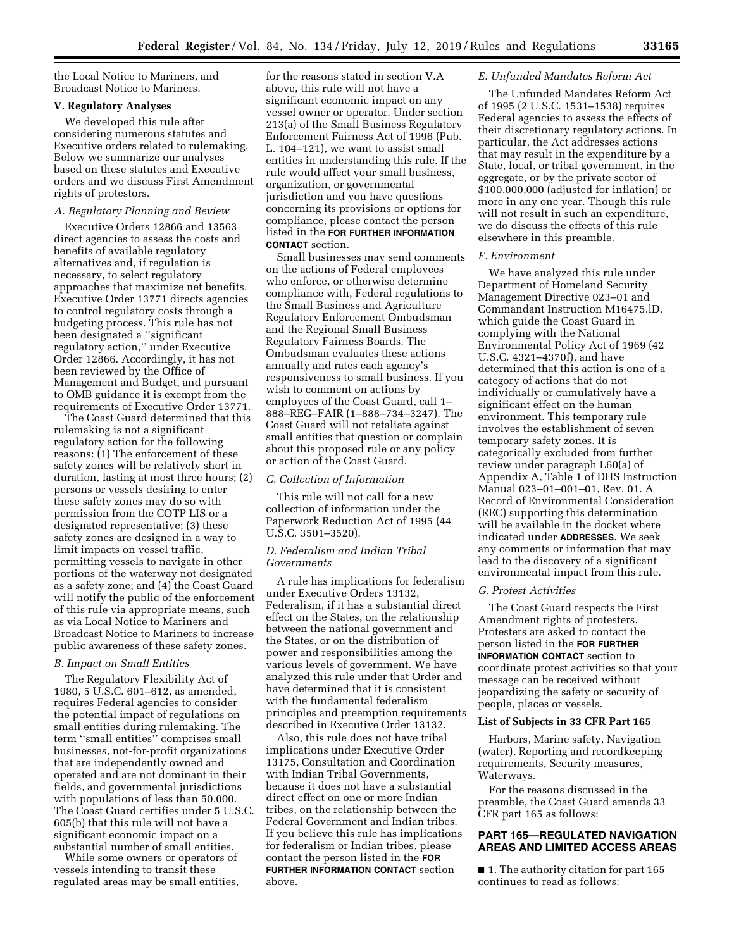the Local Notice to Mariners, and Broadcast Notice to Mariners.

#### **V. Regulatory Analyses**

We developed this rule after considering numerous statutes and Executive orders related to rulemaking. Below we summarize our analyses based on these statutes and Executive orders and we discuss First Amendment rights of protestors.

## *A. Regulatory Planning and Review*

Executive Orders 12866 and 13563 direct agencies to assess the costs and benefits of available regulatory alternatives and, if regulation is necessary, to select regulatory approaches that maximize net benefits. Executive Order 13771 directs agencies to control regulatory costs through a budgeting process. This rule has not been designated a ''significant regulatory action,'' under Executive Order 12866. Accordingly, it has not been reviewed by the Office of Management and Budget, and pursuant to OMB guidance it is exempt from the requirements of Executive Order 13771.

The Coast Guard determined that this rulemaking is not a significant regulatory action for the following reasons: (1) The enforcement of these safety zones will be relatively short in duration, lasting at most three hours; (2) persons or vessels desiring to enter these safety zones may do so with permission from the COTP LIS or a designated representative; (3) these safety zones are designed in a way to limit impacts on vessel traffic, permitting vessels to navigate in other portions of the waterway not designated as a safety zone; and (4) the Coast Guard will notify the public of the enforcement of this rule via appropriate means, such as via Local Notice to Mariners and Broadcast Notice to Mariners to increase public awareness of these safety zones.

#### *B. Impact on Small Entities*

The Regulatory Flexibility Act of 1980, 5 U.S.C. 601–612, as amended, requires Federal agencies to consider the potential impact of regulations on small entities during rulemaking. The term ''small entities'' comprises small businesses, not-for-profit organizations that are independently owned and operated and are not dominant in their fields, and governmental jurisdictions with populations of less than 50,000. The Coast Guard certifies under 5 U.S.C. 605(b) that this rule will not have a significant economic impact on a substantial number of small entities.

While some owners or operators of vessels intending to transit these regulated areas may be small entities,

for the reasons stated in section V.A above, this rule will not have a significant economic impact on any vessel owner or operator. Under section 213(a) of the Small Business Regulatory Enforcement Fairness Act of 1996 (Pub. L. 104–121), we want to assist small entities in understanding this rule. If the rule would affect your small business, organization, or governmental jurisdiction and you have questions concerning its provisions or options for compliance, please contact the person listed in the **FOR FURTHER INFORMATION CONTACT** section.

Small businesses may send comments on the actions of Federal employees who enforce, or otherwise determine compliance with, Federal regulations to the Small Business and Agriculture Regulatory Enforcement Ombudsman and the Regional Small Business Regulatory Fairness Boards. The Ombudsman evaluates these actions annually and rates each agency's responsiveness to small business. If you wish to comment on actions by employees of the Coast Guard, call 1– 888–REG–FAIR (1–888–734–3247). The Coast Guard will not retaliate against small entities that question or complain about this proposed rule or any policy or action of the Coast Guard.

#### *C. Collection of Information*

This rule will not call for a new collection of information under the Paperwork Reduction Act of 1995 (44 U.S.C. 3501–3520).

# *D. Federalism and Indian Tribal Governments*

A rule has implications for federalism under Executive Orders 13132, Federalism, if it has a substantial direct effect on the States, on the relationship between the national government and the States, or on the distribution of power and responsibilities among the various levels of government. We have analyzed this rule under that Order and have determined that it is consistent with the fundamental federalism principles and preemption requirements described in Executive Order 13132.

Also, this rule does not have tribal implications under Executive Order 13175, Consultation and Coordination with Indian Tribal Governments, because it does not have a substantial direct effect on one or more Indian tribes, on the relationship between the Federal Government and Indian tribes. If you believe this rule has implications for federalism or Indian tribes, please contact the person listed in the **FOR FURTHER INFORMATION CONTACT** section above.

#### *E. Unfunded Mandates Reform Act*

The Unfunded Mandates Reform Act of 1995 (2 U.S.C. 1531–1538) requires Federal agencies to assess the effects of their discretionary regulatory actions. In particular, the Act addresses actions that may result in the expenditure by a State, local, or tribal government, in the aggregate, or by the private sector of \$100,000,000 (adjusted for inflation) or more in any one year. Though this rule will not result in such an expenditure, we do discuss the effects of this rule elsewhere in this preamble.

#### *F. Environment*

We have analyzed this rule under Department of Homeland Security Management Directive 023–01 and Commandant Instruction M16475.lD, which guide the Coast Guard in complying with the National Environmental Policy Act of 1969 (42 U.S.C. 4321–4370f), and have determined that this action is one of a category of actions that do not individually or cumulatively have a significant effect on the human environment. This temporary rule involves the establishment of seven temporary safety zones. It is categorically excluded from further review under paragraph L60(a) of Appendix A, Table 1 of DHS Instruction Manual 023–01–001–01, Rev. 01. A Record of Environmental Consideration (REC) supporting this determination will be available in the docket where indicated under **ADDRESSES**. We seek any comments or information that may lead to the discovery of a significant environmental impact from this rule.

#### *G. Protest Activities*

The Coast Guard respects the First Amendment rights of protesters. Protesters are asked to contact the person listed in the **FOR FURTHER INFORMATION CONTACT** section to coordinate protest activities so that your message can be received without jeopardizing the safety or security of people, places or vessels.

#### **List of Subjects in 33 CFR Part 165**

Harbors, Marine safety, Navigation (water), Reporting and recordkeeping requirements, Security measures, Waterways.

For the reasons discussed in the preamble, the Coast Guard amends 33 CFR part 165 as follows:

# **PART 165—REGULATED NAVIGATION AREAS AND LIMITED ACCESS AREAS**

■ 1. The authority citation for part 165 continues to read as follows: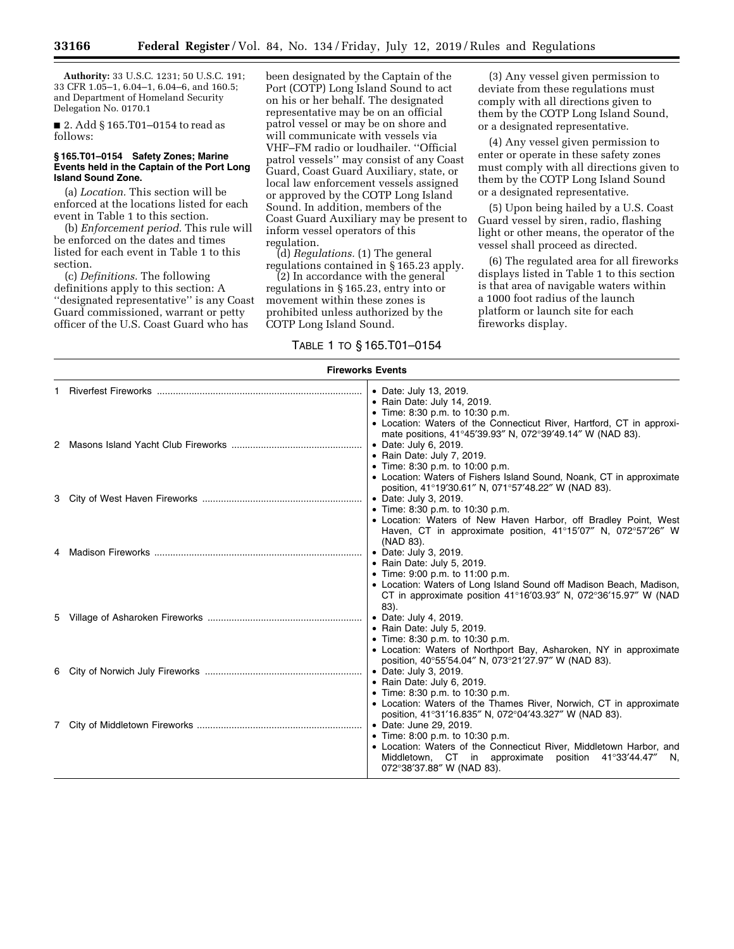**Authority:** 33 U.S.C. 1231; 50 U.S.C. 191; 33 CFR 1.05–1, 6.04–1, 6.04–6, and 160.5; and Department of Homeland Security Delegation No. 0170.1

■ 2. Add § 165.T01–0154 to read as follows:

#### **§ 165.T01–0154 Safety Zones; Marine Events held in the Captain of the Port Long Island Sound Zone.**

(a) *Location.* This section will be enforced at the locations listed for each event in Table 1 to this section.

(b) *Enforcement period.* This rule will be enforced on the dates and times listed for each event in Table 1 to this section.

(c) *Definitions.* The following definitions apply to this section: A ''designated representative'' is any Coast Guard commissioned, warrant or petty officer of the U.S. Coast Guard who has

been designated by the Captain of the Port (COTP) Long Island Sound to act on his or her behalf. The designated representative may be on an official patrol vessel or may be on shore and will communicate with vessels via VHF–FM radio or loudhailer. ''Official patrol vessels'' may consist of any Coast Guard, Coast Guard Auxiliary, state, or local law enforcement vessels assigned or approved by the COTP Long Island Sound. In addition, members of the Coast Guard Auxiliary may be present to inform vessel operators of this regulation.

(d) *Regulations.* (1) The general regulations contained in § 165.23 apply.

(2) In accordance with the general regulations in § 165.23, entry into or movement within these zones is prohibited unless authorized by the COTP Long Island Sound.

# TABLE 1 TO § 165.T01–0154

(3) Any vessel given permission to deviate from these regulations must comply with all directions given to them by the COTP Long Island Sound, or a designated representative.

(4) Any vessel given permission to enter or operate in these safety zones must comply with all directions given to them by the COTP Long Island Sound or a designated representative.

(5) Upon being hailed by a U.S. Coast Guard vessel by siren, radio, flashing light or other means, the operator of the vessel shall proceed as directed.

(6) The regulated area for all fireworks displays listed in Table 1 to this section is that area of navigable waters within a 1000 foot radius of the launch platform or launch site for each fireworks display.

| <b>Fireworks Events</b> |  |                                                                                                                                                                                                                                                                              |  |  |
|-------------------------|--|------------------------------------------------------------------------------------------------------------------------------------------------------------------------------------------------------------------------------------------------------------------------------|--|--|
|                         |  | • Date: July 13, 2019.<br>• Rain Date: July 14, 2019.<br>• Time: 8:30 p.m. to 10:30 p.m.<br>• Location: Waters of the Connecticut River, Hartford, CT in approxi-                                                                                                            |  |  |
|                         |  | mate positions, 41°45'39.93" N, 072°39'49.14" W (NAD 83).<br>• Date: July 6, 2019.<br>• Rain Date: July 7, 2019.<br>• Time: 8:30 p.m. to 10:00 p.m.<br>• Location: Waters of Fishers Island Sound, Noank, CT in approximate                                                  |  |  |
|                         |  | position, 41°19'30.61" N, 071°57'48.22" W (NAD 83).<br>• Date: July 3, 2019.<br>• Time: 8:30 p.m. to 10:30 p.m.<br>• Location: Waters of New Haven Harbor, off Bradley Point, West<br>Haven, CT in approximate position, 41°15'07" N, 072°57'26" W                           |  |  |
|                         |  | (NAD 83).<br>• Date: July 3, 2019.<br>• Rain Date: July 5, 2019.<br>• Time: 9:00 p.m. to 11:00 p.m.<br>• Location: Waters of Long Island Sound off Madison Beach, Madison,<br>CT in approximate position $41^{\circ}16'03.93''$ N, $072^{\circ}36'15.97''$ W (NAD            |  |  |
|                         |  | 83).<br>• Date: July 4, 2019.<br>• Rain Date: July 5, 2019.<br>• Time: 8:30 p.m. to 10:30 p.m.<br>• Location: Waters of Northport Bay, Asharoken, NY in approximate                                                                                                          |  |  |
|                         |  | position, 40°55'54.04" N, 073°21'27.97" W (NAD 83).<br>• Date: July 3, 2019.<br>• Rain Date: July 6, 2019.<br>• Time: 8:30 p.m. to 10:30 p.m.<br>• Location: Waters of the Thames River, Norwich, CT in approximate<br>position, 41°31'16.835" N, 072°04'43.327" W (NAD 83). |  |  |
|                         |  | • Date: June 29, 2019.<br>• Time: 8:00 p.m. to 10:30 p.m.<br>• Location: Waters of the Connecticut River, Middletown Harbor, and<br>Middletown, CT in approximate position 41°33'44.47"<br>N,<br>072°38'37.88" W (NAD 83).                                                   |  |  |